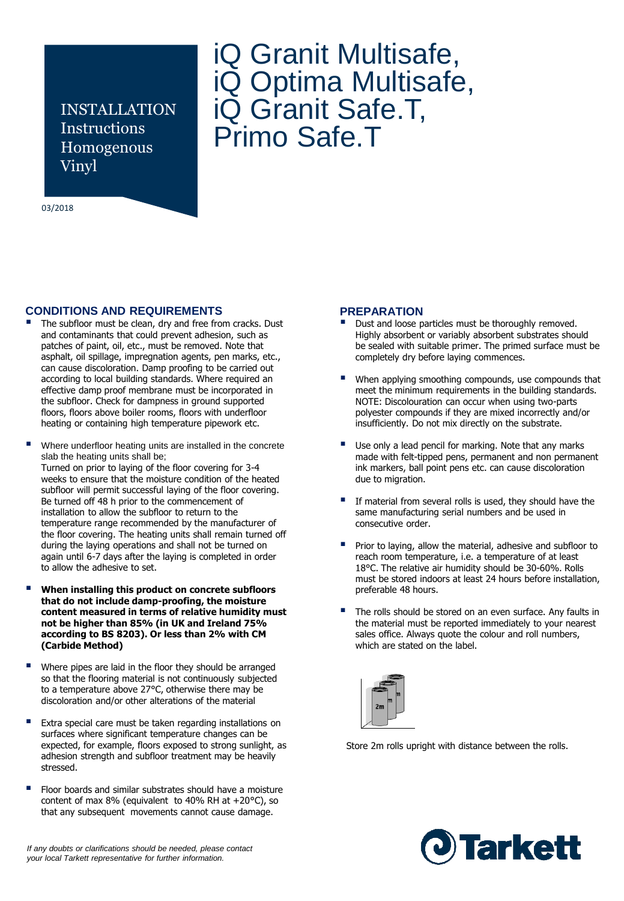INSTALLATION Instructions Homogenous Vinyl

#### 03/2018

# iQ Granit Multisafe, iQ Optima Multisafe, iQ Granit Safe.T, Primo Safe.T

# **CONDITIONS AND REQUIREMENTS**

- The subfloor must be clean, dry and free from cracks. Dust and contaminants that could prevent adhesion, such as patches of paint, oil, etc., must be removed. Note that asphalt, oil spillage, impregnation agents, pen marks, etc., can cause discoloration. Damp proofing to be carried out according to local building standards. Where required an effective damp proof membrane must be incorporated in the subfloor. Check for dampness in ground supported floors, floors above boiler rooms, floors with underfloor heating or containing high temperature pipework etc.
- Where underfloor heating units are installed in the concrete slab the heating units shall be; Turned on prior to laying of the floor covering for 3-4 weeks to ensure that the moisture condition of the heated subfloor will permit successful laying of the floor covering. Be turned off 48 h prior to the commencement of installation to allow the subfloor to return to the temperature range recommended by the manufacturer of the floor covering. The heating units shall remain turned off during the laying operations and shall not be turned on again until 6-7 days after the laying is completed in order to allow the adhesive to set.
- **When installing this product on concrete subfloors that do not include damp-proofing, the moisture content measured in terms of relative humidity must not be higher than 85% (in UK and Ireland 75% according to BS 8203). Or less than 2% with CM (Carbide Method)**
- Where pipes are laid in the floor they should be arranged so that the flooring material is not continuously subjected to a temperature above 27°C, otherwise there may be discoloration and/or other alterations of the material
- Extra special care must be taken regarding installations on surfaces where significant temperature changes can be expected, for example, floors exposed to strong sunlight, as adhesion strength and subfloor treatment may be heavily stressed.
- Floor boards and similar substrates should have a moisture content of max 8% (equivalent to 40% RH at +20°C), so that any subsequent movements cannot cause damage.

#### **PREPARATION**

- Dust and loose particles must be thoroughly removed. Highly absorbent or variably absorbent substrates should be sealed with suitable primer. The primed surface must be completely dry before laying commences.
- When applying smoothing compounds, use compounds that meet the minimum requirements in the building standards. NOTE: Discolouration can occur when using two-parts polyester compounds if they are mixed incorrectly and/or insufficiently. Do not mix directly on the substrate.
- Use only a lead pencil for marking. Note that any marks made with felt-tipped pens, permanent and non permanent ink markers, ball point pens etc. can cause discoloration due to migration.
- If material from several rolls is used, they should have the same manufacturing serial numbers and be used in consecutive order.
- Prior to laying, allow the material, adhesive and subfloor to reach room temperature, i.e. a temperature of at least 18°C. The relative air humidity should be 30-60%. Rolls must be stored indoors at least 24 hours before installation, preferable 48 hours.
- The rolls should be stored on an even surface. Any faults in the material must be reported immediately to your nearest sales office. Always quote the colour and roll numbers, which are stated on the label.



Store 2m rolls upright with distance between the rolls.



*If any doubts or clarifications should be needed, please contact your local Tarkett representative for further information.*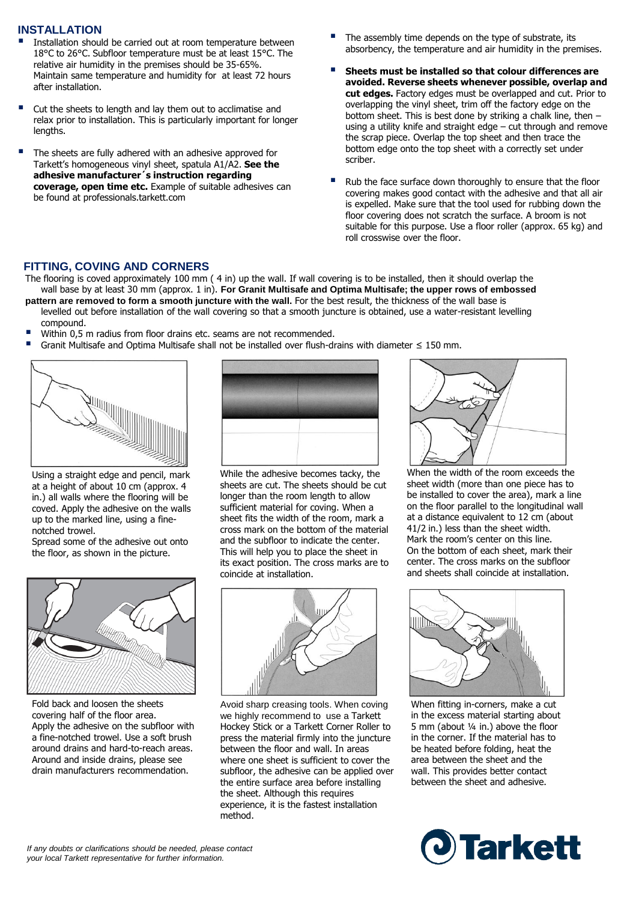# **INSTALLATION**

- Installation should be carried out at room temperature between 18°C to 26°C. Subfloor temperature must be at least 15°C. The relative air humidity in the premises should be 35-65%. Maintain same temperature and humidity for at least 72 hours after installation.
- Cut the sheets to length and lay them out to acclimatise and relax prior to installation. This is particularly important for longer lengths.
- The sheets are fully adhered with an adhesive approved for Tarkett's homogeneous vinyl sheet, spatula A1/A2. **See the adhesive manufacturer´s instruction regarding coverage, open time etc.** Example of suitable adhesives can be found at professionals.tarkett.com
- The assembly time depends on the type of substrate, its absorbency, the temperature and air humidity in the premises.
- **Sheets must be installed so that colour differences are avoided. Reverse sheets whenever possible, overlap and cut edges.** Factory edges must be overlapped and cut. Prior to overlapping the vinyl sheet, trim off the factory edge on the bottom sheet. This is best done by striking a chalk line, then – using a utility knife and straight edge – cut through and remove the scrap piece. Overlap the top sheet and then trace the bottom edge onto the top sheet with a correctly set under scriber.
- Rub the face surface down thoroughly to ensure that the floor covering makes good contact with the adhesive and that all air is expelled. Make sure that the tool used for rubbing down the floor covering does not scratch the surface. A broom is not suitable for this purpose. Use a floor roller (approx. 65 kg) and roll crosswise over the floor.

# **FITTING, COVING AND CORNERS**

The flooring is coved approximately 100 mm ( 4 in) up the wall. If wall covering is to be installed, then it should overlap the wall base by at least 30 mm (approx. 1 in). **For Granit Multisafe and Optima Multisafe; the upper rows of embossed**

- **pattern are removed to form a smooth juncture with the wall.** For the best result, the thickness of the wall base is levelled out before installation of the wall covering so that a smooth juncture is obtained, use a water-resistant levelling compound.
- Within 0,5 m radius from floor drains etc. seams are not recommended.
- Granit Multisafe and Optima Multisafe shall not be installed over flush-drains with diameter ≤ 150 mm.



Using a straight edge and pencil, mark at a height of about 10 cm (approx. 4 in.) all walls where the flooring will be coved. Apply the adhesive on the walls up to the marked line, using a finenotched trowel.

Spread some of the adhesive out onto the floor, as shown in the picture.



Fold back and loosen the sheets covering half of the floor area. Apply the adhesive on the subfloor with a fine-notched trowel. Use a soft brush around drains and hard-to-reach areas. Around and inside drains, please see drain manufacturers recommendation.



While the adhesive becomes tacky, the sheets are cut. The sheets should be cut longer than the room length to allow sufficient material for coving. When a sheet fits the width of the room, mark a cross mark on the bottom of the material and the subfloor to indicate the center. This will help you to place the sheet in its exact position. The cross marks are to coincide at installation.



Avoid sharp creasing tools. When coving we highly recommend to use a Tarkett Hockey Stick or a Tarkett Corner Roller to press the material firmly into the juncture between the floor and wall. In areas where one sheet is sufficient to cover the subfloor, the adhesive can be applied over the entire surface area before installing the sheet. Although this requires experience, it is the fastest installation method.



When the width of the room exceeds the sheet width (more than one piece has to be installed to cover the area), mark a line on the floor parallel to the longitudinal wall at a distance equivalent to 12 cm (about 41/2 in.) less than the sheet width. Mark the room's center on this line. On the bottom of each sheet, mark their center. The cross marks on the subfloor and sheets shall coincide at installation.



When fitting in-corners, make a cut in the excess material starting about 5 mm (about ¼ in.) above the floor in the corner. If the material has to be heated before folding, heat the area between the sheet and the wall. This provides better contact between the sheet and adhesive.

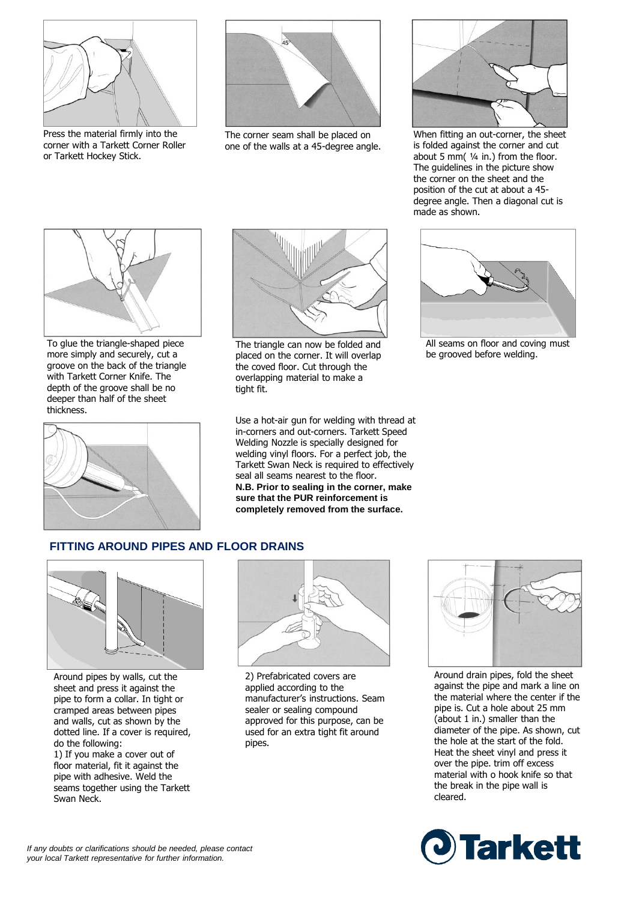

Press the material firmly into the corner with a Tarkett Corner Roller or Tarkett Hockey Stick.



The corner seam shall be placed on one of the walls at a 45-degree angle.



When fitting an out-corner, the sheet is folded against the corner and cut about 5 mm( ¼ in.) from the floor. The guidelines in the picture show the corner on the sheet and the position of the cut at about a 45 degree angle. Then a diagonal cut is made as shown.



To glue the triangle-shaped piece more simply and securely, cut a groove on the back of the triangle with Tarkett Corner Knife. The depth of the groove shall be no deeper than half of the sheet thickness.





The triangle can now be folded and placed on the corner. It will overlap the coved floor. Cut through the overlapping material to make a tight fit.

Use a hot-air gun for welding with thread at in-corners and out-corners. Tarkett Speed Welding Nozzle is specially designed for welding vinyl floors. For a perfect job, the Tarkett Swan Neck is required to effectively seal all seams nearest to the floor. **N.B. Prior to sealing in the corner, make sure that the PUR reinforcement is completely removed from the surface.**



All seams on floor and coving must be grooved before welding.

# **FITTING AROUND PIPES AND FLOOR DRAINS**



Around pipes by walls, cut the sheet and press it against the pipe to form a collar. In tight or cramped areas between pipes and walls, cut as shown by the dotted line. If a cover is required, do the following:

1) If you make a cover out of floor material, fit it against the pipe with adhesive. Weld the seams together using the Tarkett Swan Neck.



2) Prefabricated covers are applied according to the manufacturer's instructions. Seam sealer or sealing compound approved for this purpose, can be used for an extra tight fit around pipes.



Around drain pipes, fold the sheet against the pipe and mark a line on the material where the center if the pipe is. Cut a hole about 25 mm (about 1 in.) smaller than the diameter of the pipe. As shown, cut the hole at the start of the fold. Heat the sheet vinyl and press it over the pipe. trim off excess material with o hook knife so that the break in the pipe wall is cleared.